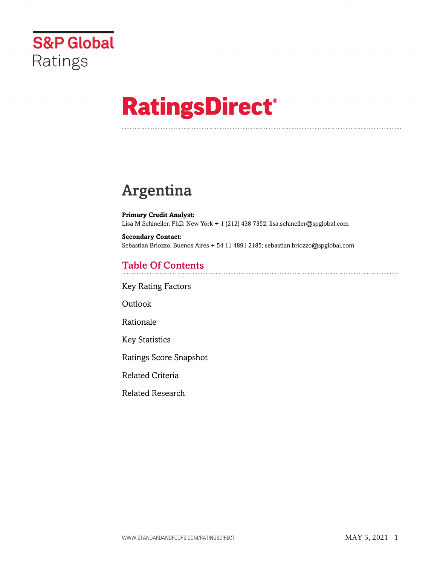

# **RatingsDirect®**

# Argentina

**Primary Credit Analyst:** Lisa M Schineller, PhD, New York + 1 (212) 438 7352; lisa.schineller@spglobal.com

**Secondary Contact:** Sebastian Briozzo, Buenos Aires + 54 11 4891 2185; sebastian.briozzo@spglobal.com

# Table Of Contents

[Key Rating Factors](#page-1-0)

[Outlook](#page-1-1)

[Rationale](#page-2-0)

[Key Statistics](#page-7-0)

[Ratings Score Snapshot](#page-9-0)

[Related Criteria](#page-10-0)

[Related Research](#page-10-1)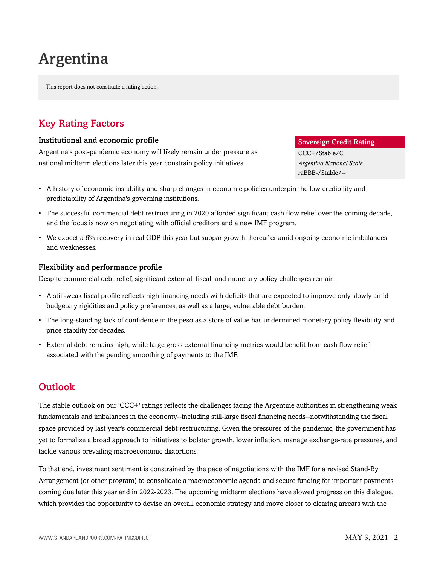# Argentina

This report does not constitute a rating action.

# <span id="page-1-0"></span>Key Rating Factors

#### Institutional and economic profile

Argentina's post-pandemic economy will likely remain under pressure as national midterm elections later this year constrain policy initiatives.

#### Sovereign Credit Rating

CCC+/Stable/C *Argentina National Scale* raBBB-/Stable/--

- A history of economic instability and sharp changes in economic policies underpin the low credibility and predictability of Argentina's governing institutions.
- The successful commercial debt restructuring in 2020 afforded significant cash flow relief over the coming decade, and the focus is now on negotiating with official creditors and a new IMF program.
- We expect a 6% recovery in real GDP this year but subpar growth thereafter amid ongoing economic imbalances and weaknesses.

#### Flexibility and performance profile

Despite commercial debt relief, significant external, fiscal, and monetary policy challenges remain.

- A still-weak fiscal profile reflects high financing needs with deficits that are expected to improve only slowly amid budgetary rigidities and policy preferences, as well as a large, vulnerable debt burden.
- The long-standing lack of confidence in the peso as a store of value has undermined monetary policy flexibility and price stability for decades.
- External debt remains high, while large gross external financing metrics would benefit from cash flow relief associated with the pending smoothing of payments to the IMF.

# <span id="page-1-1"></span>**Outlook**

The stable outlook on our 'CCC+' ratings reflects the challenges facing the Argentine authorities in strengthening weak fundamentals and imbalances in the economy--including still-large fiscal financing needs--notwithstanding the fiscal space provided by last year's commercial debt restructuring. Given the pressures of the pandemic, the government has yet to formalize a broad approach to initiatives to bolster growth, lower inflation, manage exchange-rate pressures, and tackle various prevailing macroeconomic distortions.

To that end, investment sentiment is constrained by the pace of negotiations with the IMF for a revised Stand-By Arrangement (or other program) to consolidate a macroeconomic agenda and secure funding for important payments coming due later this year and in 2022-2023. The upcoming midterm elections have slowed progress on this dialogue, which provides the opportunity to devise an overall economic strategy and move closer to clearing arrears with the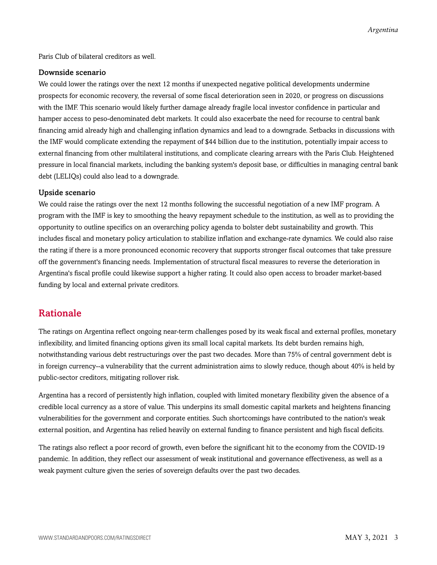Paris Club of bilateral creditors as well.

#### Downside scenario

We could lower the ratings over the next 12 months if unexpected negative political developments undermine prospects for economic recovery, the reversal of some fiscal deterioration seen in 2020, or progress on discussions with the IMF. This scenario would likely further damage already fragile local investor confidence in particular and hamper access to peso-denominated debt markets. It could also exacerbate the need for recourse to central bank financing amid already high and challenging inflation dynamics and lead to a downgrade. Setbacks in discussions with the IMF would complicate extending the repayment of \$44 billion due to the institution, potentially impair access to external financing from other multilateral institutions, and complicate clearing arrears with the Paris Club. Heightened pressure in local financial markets, including the banking system's deposit base, or difficulties in managing central bank debt (LELIQs) could also lead to a downgrade.

#### Upside scenario

We could raise the ratings over the next 12 months following the successful negotiation of a new IMF program. A program with the IMF is key to smoothing the heavy repayment schedule to the institution, as well as to providing the opportunity to outline specifics on an overarching policy agenda to bolster debt sustainability and growth. This includes fiscal and monetary policy articulation to stabilize inflation and exchange-rate dynamics. We could also raise the rating if there is a more pronounced economic recovery that supports stronger fiscal outcomes that take pressure off the government's financing needs. Implementation of structural fiscal measures to reverse the deterioration in Argentina's fiscal profile could likewise support a higher rating. It could also open access to broader market-based funding by local and external private creditors.

### <span id="page-2-0"></span>Rationale

The ratings on Argentina reflect ongoing near-term challenges posed by its weak fiscal and external profiles, monetary inflexibility, and limited financing options given its small local capital markets. Its debt burden remains high, notwithstanding various debt restructurings over the past two decades. More than 75% of central government debt is in foreign currency--a vulnerability that the current administration aims to slowly reduce, though about 40% is held by public-sector creditors, mitigating rollover risk.

Argentina has a record of persistently high inflation, coupled with limited monetary flexibility given the absence of a credible local currency as a store of value. This underpins its small domestic capital markets and heightens financing vulnerabilities for the government and corporate entities. Such shortcomings have contributed to the nation's weak external position, and Argentina has relied heavily on external funding to finance persistent and high fiscal deficits.

The ratings also reflect a poor record of growth, even before the significant hit to the economy from the COVID-19 pandemic. In addition, they reflect our assessment of weak institutional and governance effectiveness, as well as a weak payment culture given the series of sovereign defaults over the past two decades.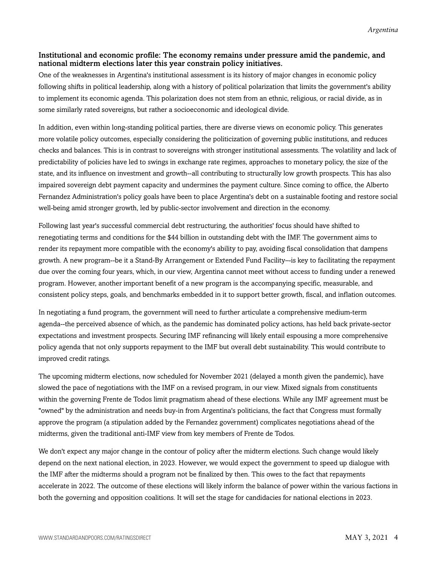#### Institutional and economic profile: The economy remains under pressure amid the pandemic, and national midterm elections later this year constrain policy initiatives.

One of the weaknesses in Argentina's institutional assessment is its history of major changes in economic policy following shifts in political leadership, along with a history of political polarization that limits the government's ability to implement its economic agenda. This polarization does not stem from an ethnic, religious, or racial divide, as in some similarly rated sovereigns, but rather a socioeconomic and ideological divide.

In addition, even within long-standing political parties, there are diverse views on economic policy. This generates more volatile policy outcomes, especially considering the politicization of governing public institutions, and reduces checks and balances. This is in contrast to sovereigns with stronger institutional assessments. The volatility and lack of predictability of policies have led to swings in exchange rate regimes, approaches to monetary policy, the size of the state, and its influence on investment and growth--all contributing to structurally low growth prospects. This has also impaired sovereign debt payment capacity and undermines the payment culture. Since coming to office, the Alberto Fernandez Administration's policy goals have been to place Argentina's debt on a sustainable footing and restore social well-being amid stronger growth, led by public-sector involvement and direction in the economy.

Following last year's successful commercial debt restructuring, the authorities' focus should have shifted to renegotiating terms and conditions for the \$44 billion in outstanding debt with the IMF. The government aims to render its repayment more compatible with the economy's ability to pay, avoiding fiscal consolidation that dampens growth. A new program--be it a Stand-By Arrangement or Extended Fund Facility–-is key to facilitating the repayment due over the coming four years, which, in our view, Argentina cannot meet without access to funding under a renewed program. However, another important benefit of a new program is the accompanying specific, measurable, and consistent policy steps, goals, and benchmarks embedded in it to support better growth, fiscal, and inflation outcomes.

In negotiating a fund program, the government will need to further articulate a comprehensive medium-term agenda--the perceived absence of which, as the pandemic has dominated policy actions, has held back private-sector expectations and investment prospects. Securing IMF refinancing will likely entail espousing a more comprehensive policy agenda that not only supports repayment to the IMF but overall debt sustainability. This would contribute to improved credit ratings.

The upcoming midterm elections, now scheduled for November 2021 (delayed a month given the pandemic), have slowed the pace of negotiations with the IMF on a revised program, in our view. Mixed signals from constituents within the governing Frente de Todos limit pragmatism ahead of these elections. While any IMF agreement must be "owned" by the administration and needs buy-in from Argentina's politicians, the fact that Congress must formally approve the program (a stipulation added by the Fernandez government) complicates negotiations ahead of the midterms, given the traditional anti-IMF view from key members of Frente de Todos.

We don't expect any major change in the contour of policy after the midterm elections. Such change would likely depend on the next national election, in 2023. However, we would expect the government to speed up dialogue with the IMF after the midterms should a program not be finalized by then. This owes to the fact that repayments accelerate in 2022. The outcome of these elections will likely inform the balance of power within the various factions in both the governing and opposition coalitions. It will set the stage for candidacies for national elections in 2023.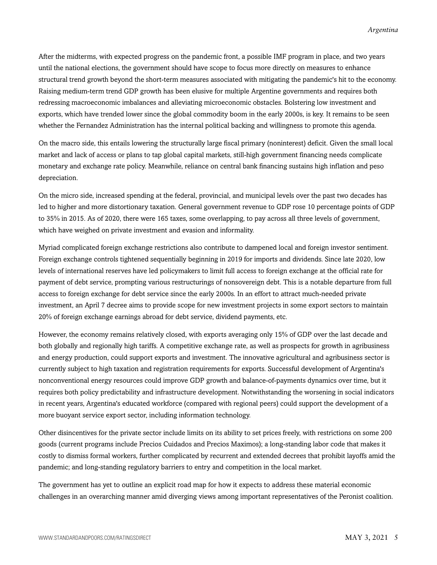After the midterms, with expected progress on the pandemic front, a possible IMF program in place, and two years until the national elections, the government should have scope to focus more directly on measures to enhance structural trend growth beyond the short-term measures associated with mitigating the pandemic's hit to the economy. Raising medium-term trend GDP growth has been elusive for multiple Argentine governments and requires both redressing macroeconomic imbalances and alleviating microeconomic obstacles. Bolstering low investment and exports, which have trended lower since the global commodity boom in the early 2000s, is key. It remains to be seen whether the Fernandez Administration has the internal political backing and willingness to promote this agenda.

On the macro side, this entails lowering the structurally large fiscal primary (noninterest) deficit. Given the small local market and lack of access or plans to tap global capital markets, still-high government financing needs complicate monetary and exchange rate policy. Meanwhile, reliance on central bank financing sustains high inflation and peso depreciation.

On the micro side, increased spending at the federal, provincial, and municipal levels over the past two decades has led to higher and more distortionary taxation. General government revenue to GDP rose 10 percentage points of GDP to 35% in 2015. As of 2020, there were 165 taxes, some overlapping, to pay across all three levels of government, which have weighed on private investment and evasion and informality.

Myriad complicated foreign exchange restrictions also contribute to dampened local and foreign investor sentiment. Foreign exchange controls tightened sequentially beginning in 2019 for imports and dividends. Since late 2020, low levels of international reserves have led policymakers to limit full access to foreign exchange at the official rate for payment of debt service, prompting various restructurings of nonsovereign debt. This is a notable departure from full access to foreign exchange for debt service since the early 2000s. In an effort to attract much-needed private investment, an April 7 decree aims to provide scope for new investment projects in some export sectors to maintain 20% of foreign exchange earnings abroad for debt service, dividend payments, etc.

However, the economy remains relatively closed, with exports averaging only 15% of GDP over the last decade and both globally and regionally high tariffs. A competitive exchange rate, as well as prospects for growth in agribusiness and energy production, could support exports and investment. The innovative agricultural and agribusiness sector is currently subject to high taxation and registration requirements for exports. Successful development of Argentina's nonconventional energy resources could improve GDP growth and balance-of-payments dynamics over time, but it requires both policy predictability and infrastructure development. Notwithstanding the worsening in social indicators in recent years, Argentina's educated workforce (compared with regional peers) could support the development of a more buoyant service export sector, including information technology.

Other disincentives for the private sector include limits on its ability to set prices freely, with restrictions on some 200 goods (current programs include Precios Cuidados and Precios Maximos); a long-standing labor code that makes it costly to dismiss formal workers, further complicated by recurrent and extended decrees that prohibit layoffs amid the pandemic; and long-standing regulatory barriers to entry and competition in the local market.

The government has yet to outline an explicit road map for how it expects to address these material economic challenges in an overarching manner amid diverging views among important representatives of the Peronist coalition.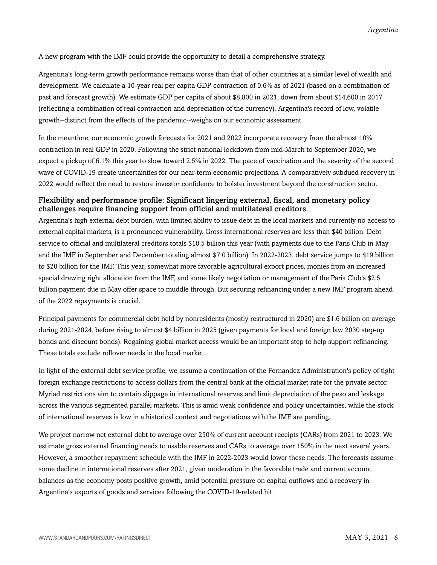A new program with the IMF could provide the opportunity to detail a comprehensive strategy.

Argentina's long-term growth performance remains worse than that of other countries at a similar level of wealth and development. We calculate a 10-year real per capita GDP contraction of 0.6% as of 2021 (based on a combination of past and forecast growth). We estimate GDP per capita of about \$8,800 in 2021, down from about \$14,600 in 2017 (reflecting a combination of real contraction and depreciation of the currency). Argentina's record of low, volatile growth--distinct from the effects of the pandemic--weighs on our economic assessment.

In the meantime, our economic growth forecasts for 2021 and 2022 incorporate recovery from the almost 10% contraction in real GDP in 2020. Following the strict national lockdown from mid-March to September 2020, we expect a pickup of 6.1% this year to slow toward 2.5% in 2022. The pace of vaccination and the severity of the second wave of COVID-19 create uncertainties for our near-term economic projections. A comparatively subdued recovery in 2022 would reflect the need to restore investor confidence to bolster investment beyond the construction sector.

#### Flexibility and performance profile: Significant lingering external, fiscal, and monetary policy challenges require financing support from official and multilateral creditors.

Argentina's high external debt burden, with limited ability to issue debt in the local markets and currently no access to external capital markets, is a pronounced vulnerability. Gross international reserves are less than \$40 billion. Debt service to official and multilateral creditors totals \$10.5 billion this year (with payments due to the Paris Club in May and the IMF in September and December totaling almost \$7.0 billion). In 2022-2023, debt service jumps to \$19 billion to \$20 billion for the IMF. This year, somewhat more favorable agricultural export prices, monies from an increased special drawing right allocation from the IMF, and some likely negotiation or management of the Paris Club's \$2.5 billion payment due in May offer space to muddle through. But securing refinancing under a new IMF program ahead of the 2022 repayments is crucial.

Principal payments for commercial debt held by nonresidents (mostly restructured in 2020) are \$1.6 billion on average during 2021-2024, before rising to almost \$4 billion in 2025 (given payments for local and foreign law 2030 step-up bonds and discount bonds). Regaining global market access would be an important step to help support refinancing. These totals exclude rollover needs in the local market.

In light of the external debt service profile, we assume a continuation of the Fernandez Administration's policy of tight foreign exchange restrictions to access dollars from the central bank at the official market rate for the private sector. Myriad restrictions aim to contain slippage in international reserves and limit depreciation of the peso and leakage across the various segmented parallel markets. This is amid weak confidence and policy uncertainties, while the stock of international reserves is low in a historical context and negotiations with the IMF are pending.

We project narrow net external debt to average over 250% of current account receipts (CARs) from 2021 to 2023. We estimate gross external financing needs to usable reserves and CARs to average over 150% in the next several years. However, a smoother repayment schedule with the IMF in 2022-2023 would lower these needs. The forecasts assume some decline in international reserves after 2021, given moderation in the favorable trade and current account balances as the economy posts positive growth, amid potential pressure on capital outflows and a recovery in Argentina's exports of goods and services following the COVID-19-related hit.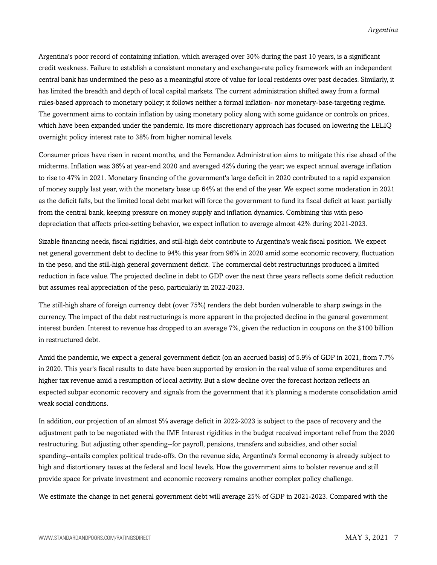Argentina's poor record of containing inflation, which averaged over 30% during the past 10 years, is a significant credit weakness. Failure to establish a consistent monetary and exchange-rate policy framework with an independent central bank has undermined the peso as a meaningful store of value for local residents over past decades. Similarly, it has limited the breadth and depth of local capital markets. The current administration shifted away from a formal rules-based approach to monetary policy; it follows neither a formal inflation- nor monetary-base-targeting regime. The government aims to contain inflation by using monetary policy along with some guidance or controls on prices, which have been expanded under the pandemic. Its more discretionary approach has focused on lowering the LELIQ overnight policy interest rate to 38% from higher nominal levels.

Consumer prices have risen in recent months, and the Fernandez Administration aims to mitigate this rise ahead of the midterms. Inflation was 36% at year-end 2020 and averaged 42% during the year; we expect annual average inflation to rise to 47% in 2021. Monetary financing of the government's large deficit in 2020 contributed to a rapid expansion of money supply last year, with the monetary base up 64% at the end of the year. We expect some moderation in 2021 as the deficit falls, but the limited local debt market will force the government to fund its fiscal deficit at least partially from the central bank, keeping pressure on money supply and inflation dynamics. Combining this with peso depreciation that affects price-setting behavior, we expect inflation to average almost 42% during 2021-2023.

Sizable financing needs, fiscal rigidities, and still-high debt contribute to Argentina's weak fiscal position. We expect net general government debt to decline to 94% this year from 96% in 2020 amid some economic recovery, fluctuation in the peso, and the still-high general government deficit. The commercial debt restructurings produced a limited reduction in face value. The projected decline in debt to GDP over the next three years reflects some deficit reduction but assumes real appreciation of the peso, particularly in 2022-2023.

The still-high share of foreign currency debt (over 75%) renders the debt burden vulnerable to sharp swings in the currency. The impact of the debt restructurings is more apparent in the projected decline in the general government interest burden. Interest to revenue has dropped to an average 7%, given the reduction in coupons on the \$100 billion in restructured debt.

Amid the pandemic, we expect a general government deficit (on an accrued basis) of 5.9% of GDP in 2021, from 7.7% in 2020. This year's fiscal results to date have been supported by erosion in the real value of some expenditures and higher tax revenue amid a resumption of local activity. But a slow decline over the forecast horizon reflects an expected subpar economic recovery and signals from the government that it's planning a moderate consolidation amid weak social conditions.

In addition, our projection of an almost 5% average deficit in 2022-2023 is subject to the pace of recovery and the adjustment path to be negotiated with the IMF. Interest rigidities in the budget received important relief from the 2020 restructuring. But adjusting other spending--for payroll, pensions, transfers and subsidies, and other social spending--entails complex political trade-offs. On the revenue side, Argentina's formal economy is already subject to high and distortionary taxes at the federal and local levels. How the government aims to bolster revenue and still provide space for private investment and economic recovery remains another complex policy challenge.

We estimate the change in net general government debt will average 25% of GDP in 2021-2023. Compared with the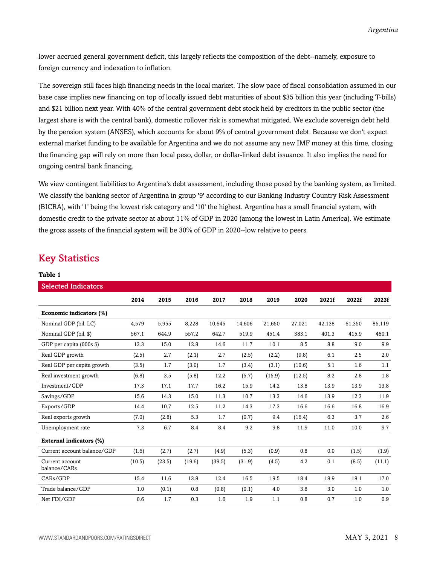lower accrued general government deficit, this largely reflects the composition of the debt--namely, exposure to foreign currency and indexation to inflation.

The sovereign still faces high financing needs in the local market. The slow pace of fiscal consolidation assumed in our base case implies new financing on top of locally issued debt maturities of about \$35 billion this year (including T-bills) and \$21 billion next year. With 40% of the central government debt stock held by creditors in the public sector (the largest share is with the central bank), domestic rollover risk is somewhat mitigated. We exclude sovereign debt held by the pension system (ANSES), which accounts for about 9% of central government debt. Because we don't expect external market funding to be available for Argentina and we do not assume any new IMF money at this time, closing the financing gap will rely on more than local peso, dollar, or dollar-linked debt issuance. It also implies the need for ongoing central bank financing.

We view contingent liabilities to Argentina's debt assessment, including those posed by the banking system, as limited. We classify the banking sector of Argentina in group '9' according to our Banking Industry Country Risk Assessment (BICRA), with '1' being the lowest risk category and '10' the highest. Argentina has a small financial system, with domestic credit to the private sector at about 11% of GDP in 2020 (among the lowest in Latin America). We estimate the gross assets of the financial system will be 30% of GDP in 2020--low relative to peers.

### <span id="page-7-0"></span>Key Statistics

**Table 1**

| <b>Selected Indicators</b>      |        |        |        |        |        |        |        |        |        |        |
|---------------------------------|--------|--------|--------|--------|--------|--------|--------|--------|--------|--------|
|                                 | 2014   | 2015   | 2016   | 2017   | 2018   | 2019   | 2020   | 2021f  | 2022f  | 2023f  |
| Economic indicators (%)         |        |        |        |        |        |        |        |        |        |        |
| Nominal GDP (bil. LC)           | 4,579  | 5,955  | 8,228  | 10,645 | 14,606 | 21,650 | 27,021 | 42,138 | 61,350 | 85,119 |
| Nominal GDP (bil. \$)           | 567.1  | 644.9  | 557.2  | 642.7  | 519.9  | 451.4  | 383.1  | 401.3  | 415.9  | 460.1  |
| GDP per capita (000s \$)        | 13.3   | 15.0   | 12.8   | 14.6   | 11.7   | 10.1   | 8.5    | 8.8    | 9.0    | 9.9    |
| Real GDP growth                 | (2.5)  | 2.7    | (2.1)  | 2.7    | (2.5)  | (2.2)  | (9.8)  | 6.1    | 2.5    | 2.0    |
| Real GDP per capita growth      | (3.5)  | 1.7    | (3.0)  | 1.7    | (3.4)  | (3.1)  | (10.6) | 5.1    | 1.6    | 1.1    |
| Real investment growth          | (6.8)  | 3.5    | (5.8)  | 12.2   | (5.7)  | (15.9) | (12.5) | 8.2    | 2.8    | 1.8    |
| Investment/GDP                  | 17.3   | 17.1   | 17.7   | 16.2   | 15.9   | 14.2   | 13.8   | 13.9   | 13.9   | 13.8   |
| Savings/GDP                     | 15.6   | 14.3   | 15.0   | 11.3   | 10.7   | 13.3   | 14.6   | 13.9   | 12.3   | 11.9   |
| Exports/GDP                     | 14.4   | 10.7   | 12.5   | 11.2   | 14.3   | 17.3   | 16.6   | 16.6   | 16.8   | 16.9   |
| Real exports growth             | (7.0)  | (2.8)  | 5.3    | 1.7    | (0.7)  | 9.4    | (16.4) | 6.3    | 3.7    | 2.6    |
| Unemployment rate               | 7.3    | 6.7    | 8.4    | 8.4    | 9.2    | 9.8    | 11.9   | 11.0   | 10.0   | 9.7    |
| <b>External indicators (%)</b>  |        |        |        |        |        |        |        |        |        |        |
| Current account balance/GDP     | (1.6)  | (2.7)  | (2.7)  | (4.9)  | (5.3)  | (0.9)  | 0.8    | 0.0    | (1.5)  | (1.9)  |
| Current account<br>balance/CARs | (10.5) | (23.5) | (19.6) | (39.5) | (31.9) | (4.5)  | 4.2    | 0.1    | (8.5)  | (11.1) |
| CARs/GDP                        | 15.4   | 11.6   | 13.8   | 12.4   | 16.5   | 19.5   | 18.4   | 18.9   | 18.1   | 17.0   |
| Trade balance/GDP               | 1.0    | (0.1)  | 0.8    | (0.8)  | (0.1)  | 4.0    | 3.8    | 3.0    | 1.0    | 1.0    |
| Net FDI/GDP                     | 0.6    | 1.7    | 0.3    | 1.6    | 1.9    | 1.1    | 0.8    | 0.7    | 1.0    | 0.9    |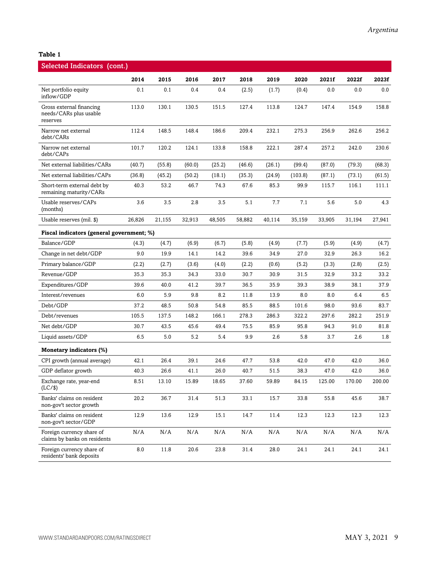#### **Table 1**

| Selected Indicators (cont.)                                    |        |        |        |        |        |        |         |        |        |         |
|----------------------------------------------------------------|--------|--------|--------|--------|--------|--------|---------|--------|--------|---------|
|                                                                | 2014   | 2015   | 2016   | 2017   | 2018   | 2019   | 2020    | 2021f  | 2022f  | 2023f   |
| Net portfolio equity<br>inflow/GDP                             | 0.1    | 0.1    | 0.4    | 0.4    | (2.5)  | (1.7)  | (0.4)   | 0.0    | 0.0    | $0.0\,$ |
| Gross external financing<br>needs/CARs plus usable<br>reserves | 113.0  | 130.1  | 130.5  | 151.5  | 127.4  | 113.8  | 124.7   | 147.4  | 154.9  | 158.8   |
| Narrow net external<br>debt/CARs                               | 112.4  | 148.5  | 148.4  | 186.6  | 209.4  | 232.1  | 275.3   | 256.9  | 262.6  | 256.2   |
| Narrow net external<br>debt/CAPs                               | 101.7  | 120.2  | 124.1  | 133.8  | 158.8  | 222.1  | 287.4   | 257.2  | 242.0  | 230.6   |
| Net external liabilities/CARs                                  | (40.7) | (55.8) | (60.0) | (25.2) | (46.6) | (26.1) | (99.4)  | (87.0) | (79.3) | (68.3)  |
| Net external liabilities/CAPs                                  | (36.8) | (45.2) | (50.2) | (18.1) | (35.3) | (24.9) | (103.8) | (87.1) | (73.1) | (61.5)  |
| Short-term external debt by<br>remaining maturity/CARs         | 40.3   | 53.2   | 46.7   | 74.3   | 67.6   | 85.3   | 99.9    | 115.7  | 116.1  | 111.1   |
| Usable reserves/CAPs<br>(months)                               | 3.6    | 3.5    | 2.8    | 3.5    | 5.1    | 7.7    | 7.1     | 5.6    | 5.0    | 4.3     |
| Usable reserves (mil. \$)                                      | 26,826 | 21,155 | 32,913 | 48,505 | 58,882 | 40,114 | 35,159  | 33,905 | 31,194 | 27,941  |
| Fiscal indicators (general government; %)                      |        |        |        |        |        |        |         |        |        |         |
| Balance/GDP                                                    | (4.3)  | (4.7)  | (6.9)  | (6.7)  | (5.8)  | (4.9)  | (7.7)   | (5.9)  | (4.9)  | (4.7)   |
| Change in net debt/GDP                                         | 9.0    | 19.9   | 14.1   | 14.2   | 39.6   | 34.9   | 27.0    | 32.9   | 26.3   | 16.2    |
| Primary balance/GDP                                            | (2.2)  | (2.7)  | (3.6)  | (4.0)  | (2.2)  | (0.6)  | (5.2)   | (3.3)  | (2.8)  | (2.5)   |
| Revenue/GDP                                                    | 35.3   | 35.3   | 34.3   | 33.0   | 30.7   | 30.9   | 31.5    | 32.9   | 33.2   | 33.2    |
| Expenditures/GDP                                               | 39.6   | 40.0   | 41.2   | 39.7   | 36.5   | 35.9   | 39.3    | 38.9   | 38.1   | 37.9    |
| Interest/revenues                                              | 6.0    | 5.9    | 9.8    | 8.2    | 11.8   | 13.9   | 8.0     | 8.0    | 6.4    | 6.5     |
| Debt/GDP                                                       | 37.2   | 48.5   | 50.8   | 54.8   | 85.5   | 88.5   | 101.6   | 98.0   | 93.6   | 83.7    |
| Debt/revenues                                                  | 105.5  | 137.5  | 148.2  | 166.1  | 278.3  | 286.3  | 322.2   | 297.6  | 282.2  | 251.9   |
| Net debt/GDP                                                   | 30.7   | 43.5   | 45.6   | 49.4   | 75.5   | 85.9   | 95.8    | 94.3   | 91.0   | 81.8    |
| Liquid assets/GDP                                              | 6.5    | 5.0    | 5.2    | 5.4    | 9.9    | 2.6    | 5.8     | 3.7    | 2.6    | 1.8     |
| Monetary indicators (%)                                        |        |        |        |        |        |        |         |        |        |         |
| CPI growth (annual average)                                    | 42.1   | 26.4   | 39.1   | 24.6   | 47.7   | 53.8   | 42.0    | 47.0   | 42.0   | 36.0    |
| GDP deflator growth                                            | 40.3   | 26.6   | 41.1   | 26.0   | 40.7   | 51.5   | 38.3    | 47.0   | 42.0   | 36.0    |
| Exchange rate, year-end<br>(LC/\$)                             | 8.51   | 13.10  | 15.89  | 18.65  | 37.60  | 59.89  | 84.15   | 125.00 | 170.00 | 200.00  |
| Banks' claims on resident<br>non-gov't sector growth           | 20.2   | 36.7   | 31.4   | 51.3   | 33.1   | 15.7   | 33.8    | 55.8   | 45.6   | 38.7    |
| Banks' claims on resident<br>non-gov't sector/GDP              | 12.9   | 13.6   | 12.9   | 15.1   | 14.7   | 11.4   | 12.3    | 12.3   | 12.3   | 12.3    |
| Foreign currency share of<br>claims by banks on residents      | N/A    | N/A    | N/A    | N/A    | N/A    | N/A    | N/A     | N/A    | N/A    | N/A     |
| Foreign currency share of<br>residents' bank deposits          | 8.0    | 11.8   | 20.6   | 23.8   | 31.4   | 28.0   | 24.1    | 24.1   | 24.1   | 24.1    |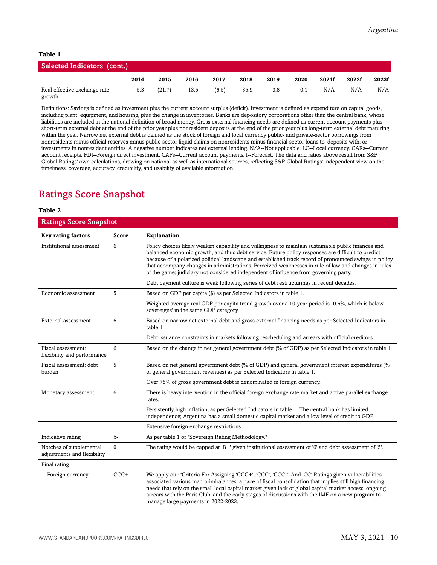#### **Table 1**

| Selected Indicators (cont.)            |      |        |      |       |      |      |      |       |       |       |
|----------------------------------------|------|--------|------|-------|------|------|------|-------|-------|-------|
|                                        | 2014 | 2015   | 2016 | 2017  | 2018 | 2019 | 2020 | 2021f | 2022f | 2023f |
| Real effective exchange rate<br>growth | 5.3  | (21.7) | 13.5 | (6.5) | 35.9 | 3.8  | 0.1  | N/A   | N/A   | N/A   |

Definitions: Savings is defined as investment plus the current account surplus (deficit). Investment is defined as expenditure on capital goods, including plant, equipment, and housing, plus the change in inventories. Banks are depository corporations other than the central bank, whose liabilities are included in the national definition of broad money. Gross external financing needs are defined as current account payments plus short-term external debt at the end of the prior year plus nonresident deposits at the end of the prior year plus long-term external debt maturing within the year. Narrow net external debt is defined as the stock of foreign and local currency public- and private-sector borrowings from nonresidents minus official reserves minus public-sector liquid claims on nonresidents minus financial-sector loans to, deposits with, or investments in nonresident entities. A negative number indicates net external lending. N/A--Not applicable. LC--Local currency. CARs--Current account receipts. FDI--Foreign direct investment. CAPs--Current account payments. f--Forecast. The data and ratios above result from S&P Global Ratings' own calculations, drawing on national as well as international sources, reflecting S&P Global Ratings' independent view on the timeliness, coverage, accuracy, credibility, and usability of available information.

# <span id="page-9-0"></span>Ratings Score Snapshot

#### **Table 2**

| <b>Ratings Score Snapshot</b>                          |          |                                                                                                                                                                                                                                                                                                                                                                                                                                                                                                                   |  |  |  |
|--------------------------------------------------------|----------|-------------------------------------------------------------------------------------------------------------------------------------------------------------------------------------------------------------------------------------------------------------------------------------------------------------------------------------------------------------------------------------------------------------------------------------------------------------------------------------------------------------------|--|--|--|
| <b>Key rating factors</b>                              | Score    | <b>Explanation</b>                                                                                                                                                                                                                                                                                                                                                                                                                                                                                                |  |  |  |
| Institutional assessment                               | 6        | Policy choices likely weaken capability and willingness to maintain sustainable public finances and<br>balanced economic growth, and thus debt service. Future policy responses are difficult to predict<br>because of a polarized political landscape and established track record of pronounced swings in policy<br>that accompany changes in administrations. Perceived weaknesses in rule of law and changes in rules<br>of the game; judiciary not considered independent of influence from governing party. |  |  |  |
|                                                        |          | Debt payment culture is weak following series of debt restructurings in recent decades.                                                                                                                                                                                                                                                                                                                                                                                                                           |  |  |  |
| Economic assessment                                    | 5        | Based on GDP per capita (\$) as per Selected Indicators in table 1.                                                                                                                                                                                                                                                                                                                                                                                                                                               |  |  |  |
|                                                        |          | Weighted average real GDP per capita trend growth over a 10-year period is -0.6%, which is below<br>sovereigns' in the same GDP category.                                                                                                                                                                                                                                                                                                                                                                         |  |  |  |
| External assessment                                    | 6        | Based on narrow net external debt and gross external financing needs as per Selected Indicators in<br>table 1.                                                                                                                                                                                                                                                                                                                                                                                                    |  |  |  |
|                                                        |          | Debt issuance constraints in markets following rescheduling and arrears with official creditors.                                                                                                                                                                                                                                                                                                                                                                                                                  |  |  |  |
| Fiscal assessment:<br>flexibility and performance      | 6        | Based on the change in net general government debt (% of GDP) as per Selected Indicators in table 1.                                                                                                                                                                                                                                                                                                                                                                                                              |  |  |  |
| Fiscal assessment: debt<br>burden                      | 5        | Based on net general government debt (% of GDP) and general government interest expenditures (%<br>of general government revenues) as per Selected Indicators in table 1.                                                                                                                                                                                                                                                                                                                                         |  |  |  |
|                                                        |          | Over 75% of gross government debt is denominated in foreign currency.                                                                                                                                                                                                                                                                                                                                                                                                                                             |  |  |  |
| Monetary assessment                                    | 6        | There is heavy intervention in the official foreign exchange rate market and active parallel exchange<br>rates.                                                                                                                                                                                                                                                                                                                                                                                                   |  |  |  |
|                                                        |          | Persistently high inflation, as per Selected Indicators in table 1. The central bank has limited<br>independence; Argentina has a small domestic capital market and a low level of credit to GDP.                                                                                                                                                                                                                                                                                                                 |  |  |  |
|                                                        |          | Extensive foreign exchange restrictions                                                                                                                                                                                                                                                                                                                                                                                                                                                                           |  |  |  |
| Indicative rating                                      | $b-$     | As per table 1 of "Sovereign Rating Methodology."                                                                                                                                                                                                                                                                                                                                                                                                                                                                 |  |  |  |
| Notches of supplemental<br>adjustments and flexibility | $\Omega$ | The rating would be capped at 'B+' given institutional assessment of '6' and debt assessment of '5'.                                                                                                                                                                                                                                                                                                                                                                                                              |  |  |  |
| Final rating                                           |          |                                                                                                                                                                                                                                                                                                                                                                                                                                                                                                                   |  |  |  |
| Foreign currency                                       | $CCC+$   | We apply our "Criteria For Assigning 'CCC+', 'CCC', 'CCC-', And 'CC' Ratings given vulnerabilities<br>associated various macro-imbalances, a pace of fiscal consolidation that implies still high financing<br>needs that rely on the small local capital market given lack of global capital market access, ongoing<br>arrears with the Paris Club, and the early stages of discussions with the IMF on a new program to<br>manage large payments in 2022-2023.                                                  |  |  |  |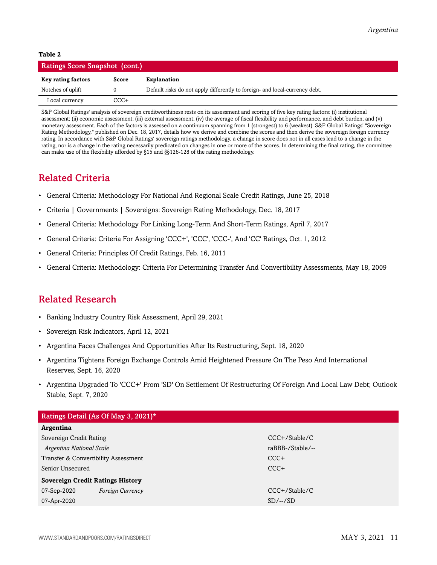#### **Table 2**

| <b>Ratings Score Snapshot (cont.)</b> |       |                                                                             |  |  |
|---------------------------------------|-------|-----------------------------------------------------------------------------|--|--|
| <b>Key rating factors</b>             | Score | <b>Explanation</b>                                                          |  |  |
| Notches of uplift                     |       | Default risks do not apply differently to foreign- and local-currency debt. |  |  |
| Local currency                        | CCC+  |                                                                             |  |  |

S&P Global Ratings' analysis of sovereign creditworthiness rests on its assessment and scoring of five key rating factors: (i) institutional assessment; (ii) economic assessment; (iii) external assessment; (iv) the average of fiscal flexibility and performance, and debt burden; and (v) monetary assessment. Each of the factors is assessed on a continuum spanning from 1 (strongest) to 6 (weakest). S&P Global Ratings' "Sovereign Rating Methodology," published on Dec. 18, 2017, details how we derive and combine the scores and then derive the sovereign foreign currency rating. In accordance with S&P Global Ratings' sovereign ratings methodology, a change in score does not in all cases lead to a change in the rating, nor is a change in the rating necessarily predicated on changes in one or more of the scores. In determining the final rating, the committee can make use of the flexibility afforded by §15 and §§126-128 of the rating methodology.

## <span id="page-10-0"></span>Related Criteria

- General Criteria: Methodology For National And Regional Scale Credit Ratings, June 25, 2018
- Criteria | Governments | Sovereigns: Sovereign Rating Methodology, Dec. 18, 2017
- General Criteria: Methodology For Linking Long-Term And Short-Term Ratings, April 7, 2017
- General Criteria: Criteria For Assigning 'CCC+', 'CCC', 'CCC-', And 'CC' Ratings, Oct. 1, 2012
- General Criteria: Principles Of Credit Ratings, Feb. 16, 2011
- General Criteria: Methodology: Criteria For Determining Transfer And Convertibility Assessments, May 18, 2009

## <span id="page-10-1"></span>Related Research

- Banking Industry Country Risk Assessment, April 29, 2021
- Sovereign Risk Indicators, April 12, 2021
- Argentina Faces Challenges And Opportunities After Its Restructuring, Sept. 18, 2020
- Argentina Tightens Foreign Exchange Controls Amid Heightened Pressure On The Peso And International Reserves, Sept. 16, 2020
- Argentina Upgraded To 'CCC+' From 'SD' On Settlement Of Restructuring Of Foreign And Local Law Debt; Outlook Stable, Sept. 7, 2020

| Ratings Detail (As Of May 3, 2021)*     |                         |                  |  |  |  |
|-----------------------------------------|-------------------------|------------------|--|--|--|
| Argentina                               |                         |                  |  |  |  |
| Sovereign Credit Rating                 |                         | $CCC+$ /Stable/C |  |  |  |
| Argentina National Scale                |                         | raBBB-/Stable/-- |  |  |  |
| Transfer & Convertibility Assessment    |                         | $CCC+$           |  |  |  |
| Senior Unsecured                        |                         | $CCC+$           |  |  |  |
| <b>Sovereign Credit Ratings History</b> |                         |                  |  |  |  |
| 07-Sep-2020                             | <b>Foreign Currency</b> | $CCC+$ /Stable/C |  |  |  |
| 07-Apr-2020                             |                         | $SD/-/SD$        |  |  |  |
|                                         |                         |                  |  |  |  |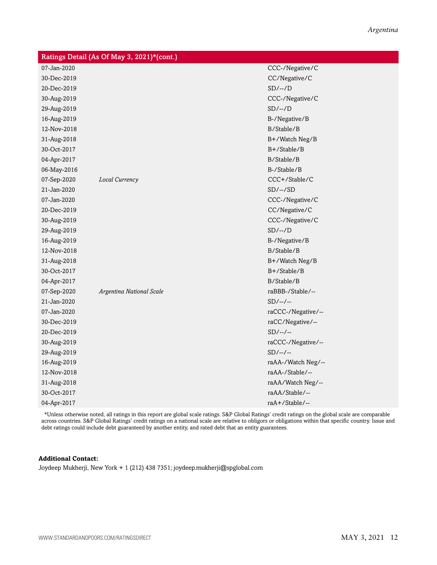|             | Ratings Detail (As Of May 3, 2021)*(cont.) |                    |
|-------------|--------------------------------------------|--------------------|
| 07-Jan-2020 |                                            | CCC-/Negative/C    |
| 30-Dec-2019 |                                            | CC/Negative/C      |
| 20-Dec-2019 |                                            | $SD/-/D$           |
| 30-Aug-2019 |                                            | CCC-/Negative/C    |
| 29-Aug-2019 |                                            | $SD/-/D$           |
| 16-Aug-2019 |                                            | B-/Negative/B      |
| 12-Nov-2018 |                                            | B/Stable/B         |
| 31-Aug-2018 |                                            | B+/Watch Neg/B     |
| 30-Oct-2017 |                                            | B+/Stable/B        |
| 04-Apr-2017 |                                            | B/Stable/B         |
| 06-May-2016 |                                            | B-/Stable/B        |
| 07-Sep-2020 | Local Currency                             | CCC+/Stable/C      |
| 21-Jan-2020 |                                            | $SD/-/SD$          |
| 07-Jan-2020 |                                            | CCC-/Negative/C    |
| 20-Dec-2019 |                                            | CC/Negative/C      |
| 30-Aug-2019 |                                            | CCC-/Negative/C    |
| 29-Aug-2019 |                                            | $SD/-/D$           |
| 16-Aug-2019 |                                            | B-/Negative/B      |
| 12-Nov-2018 |                                            | B/Stable/B         |
| 31-Aug-2018 |                                            | B+/Watch Neg/B     |
| 30-Oct-2017 |                                            | B+/Stable/B        |
| 04-Apr-2017 |                                            | B/Stable/B         |
| 07-Sep-2020 | Argentina National Scale                   | raBBB-/Stable/--   |
| 21-Jan-2020 |                                            | $SD/-/-$           |
| 07-Jan-2020 |                                            | raCCC-/Negative/-- |
| 30-Dec-2019 |                                            | raCC/Negative/--   |
| 20-Dec-2019 |                                            | $SD/-/-$           |
| 30-Aug-2019 |                                            | raCCC-/Negative/-- |
| 29-Aug-2019 |                                            | $SD/-/-$           |
| 16-Aug-2019 |                                            | raAA-/Watch Neg/-- |
| 12-Nov-2018 |                                            | raAA-/Stable/--    |
| 31-Aug-2018 |                                            | raAA/Watch Neg/--  |
| 30-Oct-2017 |                                            | raAA/Stable/--     |
| 04-Apr-2017 |                                            | raA+/Stable/--     |

\*Unless otherwise noted, all ratings in this report are global scale ratings. S&P Global Ratings' credit ratings on the global scale are comparable across countries. S&P Global Ratings' credit ratings on a national scale are relative to obligors or obligations within that specific country. Issue and debt ratings could include debt guaranteed by another entity, and rated debt that an entity guarantees.

#### **Additional Contact:**

Joydeep Mukherji, New York + 1 (212) 438 7351; joydeep.mukherji@spglobal.com